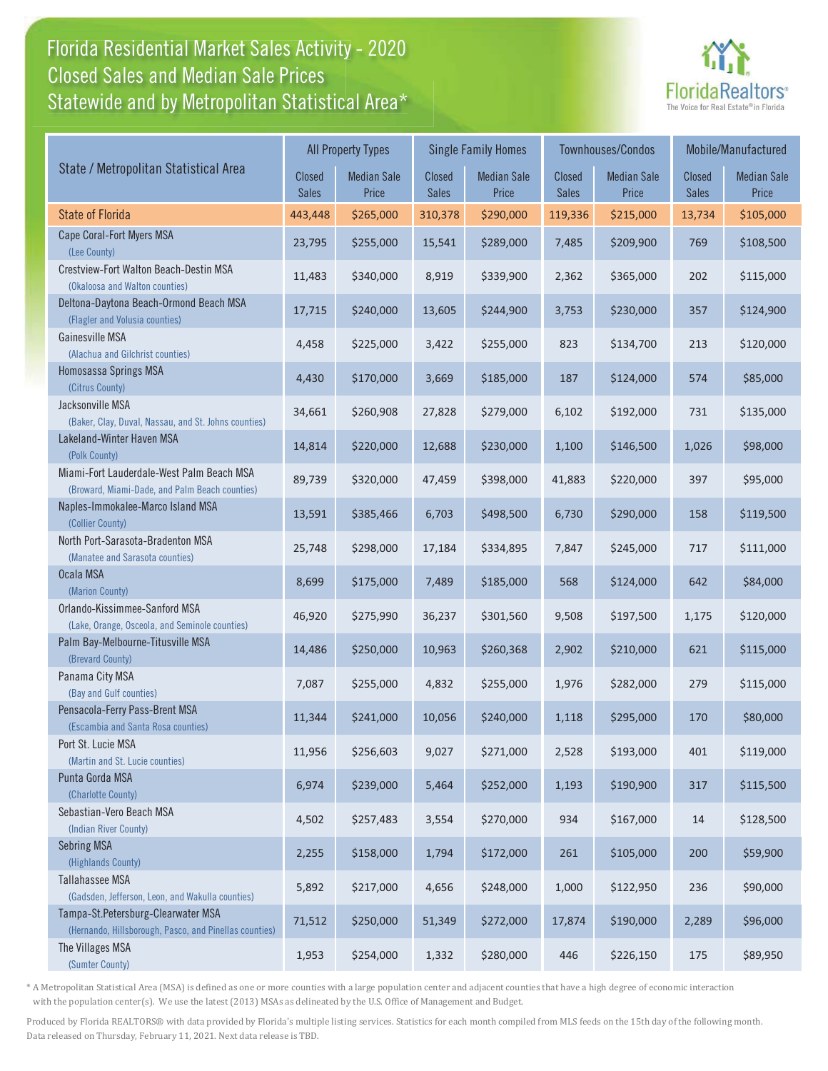## Florida Residential Market Sales Activity - 2020 Florida Residential Market Sales Activity Statewide and by Metropolitan Statistical Area $^{\star}$ Closed Sales and Median Sale Prices



|                                                                                              | <b>All Property Types</b> |                             |                        | <b>Single Family Homes</b>  |                               | Townhouses/Condos           | Mobile/Manufactured |                             |
|----------------------------------------------------------------------------------------------|---------------------------|-----------------------------|------------------------|-----------------------------|-------------------------------|-----------------------------|---------------------|-----------------------------|
| State / Metropolitan Statistical Area                                                        | Closed<br><b>Sales</b>    | <b>Median Sale</b><br>Price | Closed<br><b>Sales</b> | <b>Median Sale</b><br>Price | <b>Closed</b><br><b>Sales</b> | <b>Median Sale</b><br>Price | Closed<br>Sales     | <b>Median Sale</b><br>Price |
| <b>State of Florida</b>                                                                      | 443,448                   | \$265,000                   | 310,378                | \$290,000                   | 119,336                       | \$215,000                   | 13,734              | \$105,000                   |
| Cape Coral-Fort Myers MSA<br>(Lee County)                                                    | 23,795                    | \$255,000                   | 15,541                 | \$289,000                   | 7,485                         | \$209,900                   | 769                 | \$108,500                   |
| Crestview-Fort Walton Beach-Destin MSA<br>(Okaloosa and Walton counties)                     | 11,483                    | \$340,000                   | 8,919                  | \$339,900                   | 2,362                         | \$365,000                   | 202                 | \$115,000                   |
| Deltona-Daytona Beach-Ormond Beach MSA<br>(Flagler and Volusia counties)                     | 17,715                    | \$240,000                   | 13,605                 | \$244,900                   | 3,753                         | \$230,000                   | 357                 | \$124,900                   |
| Gainesville MSA<br>(Alachua and Gilchrist counties)                                          | 4,458                     | \$225,000                   | 3,422                  | \$255,000                   | 823                           | \$134,700                   | 213                 | \$120,000                   |
| Homosassa Springs MSA<br>(Citrus County)                                                     | 4,430                     | \$170,000                   | 3,669                  | \$185,000                   | 187                           | \$124,000                   | 574                 | \$85,000                    |
| Jacksonville MSA<br>(Baker, Clay, Duval, Nassau, and St. Johns counties)                     | 34,661                    | \$260,908                   | 27,828                 | \$279,000                   | 6,102                         | \$192,000                   | 731                 | \$135,000                   |
| Lakeland-Winter Haven MSA<br>(Polk County)                                                   | 14,814                    | \$220,000                   | 12,688                 | \$230,000                   | 1,100                         | \$146,500                   | 1,026               | \$98,000                    |
| Miami-Fort Lauderdale-West Palm Beach MSA<br>(Broward, Miami-Dade, and Palm Beach counties)  | 89,739                    | \$320,000                   | 47,459                 | \$398,000                   | 41,883                        | \$220,000                   | 397                 | \$95,000                    |
| Naples-Immokalee-Marco Island MSA<br>(Collier County)                                        | 13,591                    | \$385,466                   | 6,703                  | \$498,500                   | 6,730                         | \$290,000                   | 158                 | \$119,500                   |
| North Port-Sarasota-Bradenton MSA<br>(Manatee and Sarasota counties)                         | 25,748                    | \$298,000                   | 17,184                 | \$334,895                   | 7,847                         | \$245,000                   | 717                 | \$111,000                   |
| Ocala MSA<br>(Marion County)                                                                 | 8,699                     | \$175,000                   | 7,489                  | \$185,000                   | 568                           | \$124,000                   | 642                 | \$84,000                    |
| Orlando-Kissimmee-Sanford MSA<br>(Lake, Orange, Osceola, and Seminole counties)              | 46,920                    | \$275,990                   | 36,237                 | \$301,560                   | 9,508                         | \$197,500                   | 1,175               | \$120,000                   |
| Palm Bay-Melbourne-Titusville MSA<br>(Brevard County)                                        | 14,486                    | \$250,000                   | 10,963                 | \$260,368                   | 2,902                         | \$210,000                   | 621                 | \$115,000                   |
| Panama City MSA<br>(Bay and Gulf counties)                                                   | 7,087                     | \$255,000                   | 4,832                  | \$255,000                   | 1,976                         | \$282,000                   | 279                 | \$115,000                   |
| Pensacola-Ferry Pass-Brent MSA<br>(Escambia and Santa Rosa counties)                         | 11,344                    | \$241,000                   | 10,056                 | \$240,000                   | 1,118                         | \$295,000                   | 170                 | \$80,000                    |
| Port St. Lucie MSA<br>(Martin and St. Lucie counties)                                        | 11,956                    | \$256,603                   | 9,027                  | \$271,000                   | 2,528                         | \$193,000                   | 401                 | \$119,000                   |
| Punta Gorda MSA<br>(Charlotte County)                                                        | 6,974                     | \$239,000                   | 5,464                  | \$252,000                   | 1,193                         | \$190,900                   | 317                 | \$115,500                   |
| Sebastian-Vero Beach MSA<br>(Indian River County)                                            | 4,502                     | \$257,483                   | 3,554                  | \$270,000                   | 934                           | \$167,000                   | 14                  | \$128,500                   |
| <b>Sebring MSA</b><br>(Highlands County)                                                     | 2,255                     | \$158,000                   | 1,794                  | \$172,000                   | 261                           | \$105,000                   | 200                 | \$59,900                    |
| <b>Tallahassee MSA</b><br>(Gadsden, Jefferson, Leon, and Wakulla counties)                   | 5,892                     | \$217,000                   | 4,656                  | \$248,000                   | 1,000                         | \$122,950                   | 236                 | \$90,000                    |
| Tampa-St.Petersburg-Clearwater MSA<br>(Hernando, Hillsborough, Pasco, and Pinellas counties) | 71,512                    | \$250,000                   | 51,349                 | \$272,000                   | 17,874                        | \$190,000                   | 2,289               | \$96,000                    |
| The Villages MSA<br>(Sumter County)                                                          | 1,953                     | \$254,000                   | 1,332                  | \$280,000                   | 446                           | \$226,150                   | 175                 | \$89,950                    |

\* A Metropolitan Statistical Area (MSA) is defined as one or more counties with a large population center and adjacent counties that have a high degree of economic interaction with the population center(s). We use the latest (2013) MSAs as delineated by the U.S. Office of Management and Budget.

Produced by Florida REALTORS® with data provided by Florida's multiple listing services. Statistics for each month compiled from MLS feeds on the 15th day of the following month. Data released on Thursday, February 11, 2021. Next data release is TBD.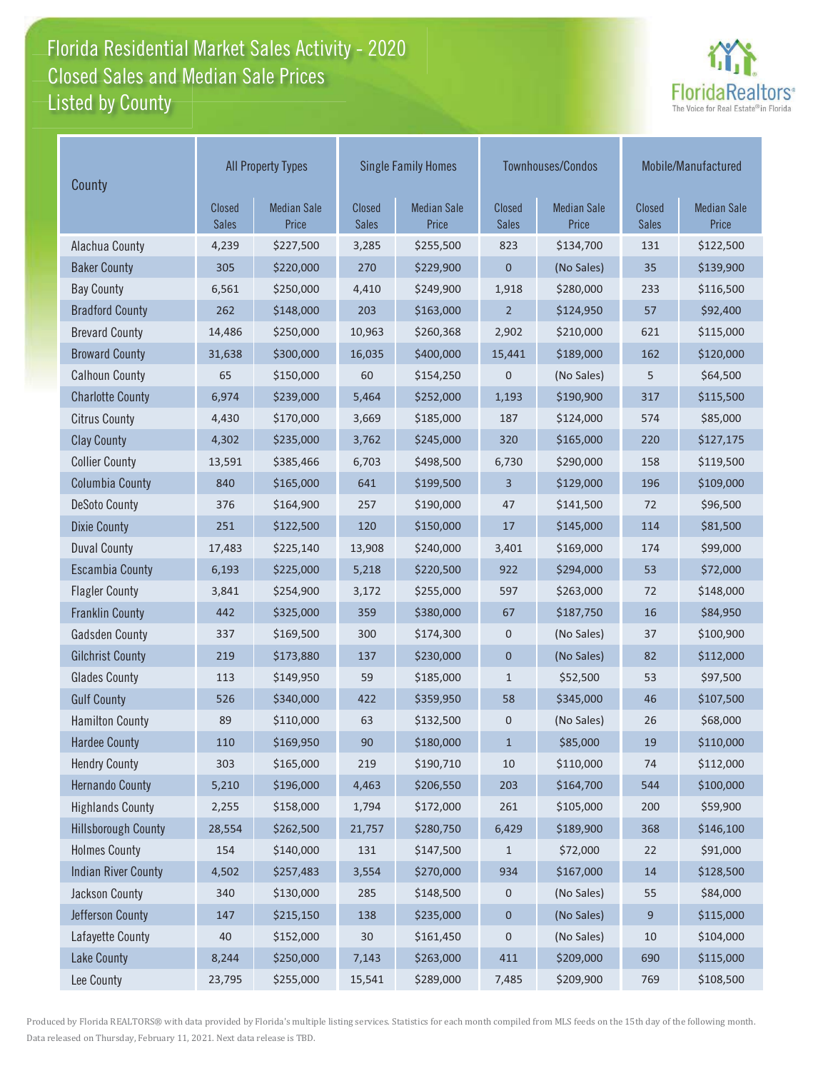## Florida Residential Market Sales Activity - 2020 Florida Residential Market Sales Activity Listed by County Closed Sales and Median Sale Prices



| County                     | <b>All Property Types</b>     |                             | <b>Single Family Homes</b> |                             |                        | Townhouses/Condos           | Mobile/Manufactured           |                             |
|----------------------------|-------------------------------|-----------------------------|----------------------------|-----------------------------|------------------------|-----------------------------|-------------------------------|-----------------------------|
|                            | <b>Closed</b><br><b>Sales</b> | <b>Median Sale</b><br>Price | Closed<br><b>Sales</b>     | <b>Median Sale</b><br>Price | Closed<br><b>Sales</b> | <b>Median Sale</b><br>Price | <b>Closed</b><br><b>Sales</b> | <b>Median Sale</b><br>Price |
| Alachua County             | 4,239                         | \$227,500                   | 3,285                      | \$255,500                   | 823                    | \$134,700                   | 131                           | \$122,500                   |
| <b>Baker County</b>        | 305                           | \$220,000                   | 270                        | \$229,900                   | $\mathbf 0$            | (No Sales)                  | 35                            | \$139,900                   |
| <b>Bay County</b>          | 6,561                         | \$250,000                   | 4,410                      | \$249,900                   | 1,918                  | \$280,000                   | 233                           | \$116,500                   |
| <b>Bradford County</b>     | 262                           | \$148,000                   | 203                        | \$163,000                   | $\overline{2}$         | \$124,950                   | 57                            | \$92,400                    |
| <b>Brevard County</b>      | 14,486                        | \$250,000                   | 10,963                     | \$260,368                   | 2,902                  | \$210,000                   | 621                           | \$115,000                   |
| <b>Broward County</b>      | 31,638                        | \$300,000                   | 16,035                     | \$400,000                   | 15,441                 | \$189,000                   | 162                           | \$120,000                   |
| <b>Calhoun County</b>      | 65                            | \$150,000                   | 60                         | \$154,250                   | $\mathbf 0$            | (No Sales)                  | 5                             | \$64,500                    |
| <b>Charlotte County</b>    | 6,974                         | \$239,000                   | 5,464                      | \$252,000                   | 1,193                  | \$190,900                   | 317                           | \$115,500                   |
| <b>Citrus County</b>       | 4,430                         | \$170,000                   | 3,669                      | \$185,000                   | 187                    | \$124,000                   | 574                           | \$85,000                    |
| <b>Clay County</b>         | 4,302                         | \$235,000                   | 3,762                      | \$245,000                   | 320                    | \$165,000                   | 220                           | \$127,175                   |
| <b>Collier County</b>      | 13,591                        | \$385,466                   | 6,703                      | \$498,500                   | 6,730                  | \$290,000                   | 158                           | \$119,500                   |
| <b>Columbia County</b>     | 840                           | \$165,000                   | 641                        | \$199,500                   | 3                      | \$129,000                   | 196                           | \$109,000                   |
| <b>DeSoto County</b>       | 376                           | \$164,900                   | 257                        | \$190,000                   | 47                     | \$141,500                   | 72                            | \$96,500                    |
| <b>Dixie County</b>        | 251                           | \$122,500                   | 120                        | \$150,000                   | 17                     | \$145,000                   | 114                           | \$81,500                    |
| <b>Duval County</b>        | 17,483                        | \$225,140                   | 13,908                     | \$240,000                   | 3,401                  | \$169,000                   | 174                           | \$99,000                    |
| <b>Escambia County</b>     | 6,193                         | \$225,000                   | 5,218                      | \$220,500                   | 922                    | \$294,000                   | 53                            | \$72,000                    |
| <b>Flagler County</b>      | 3,841                         | \$254,900                   | 3,172                      | \$255,000                   | 597                    | \$263,000                   | 72                            | \$148,000                   |
| <b>Franklin County</b>     | 442                           | \$325,000                   | 359                        | \$380,000                   | 67                     | \$187,750                   | 16                            | \$84,950                    |
| <b>Gadsden County</b>      | 337                           | \$169,500                   | 300                        | \$174,300                   | $\mathsf{O}\xspace$    | (No Sales)                  | 37                            | \$100,900                   |
| <b>Gilchrist County</b>    | 219                           | \$173,880                   | 137                        | \$230,000                   | $\mathbf 0$            | (No Sales)                  | 82                            | \$112,000                   |
| <b>Glades County</b>       | 113                           | \$149,950                   | 59                         | \$185,000                   | $\mathbf{1}$           | \$52,500                    | 53                            | \$97,500                    |
| <b>Gulf County</b>         | 526                           | \$340,000                   | 422                        | \$359,950                   | 58                     | \$345,000                   | 46                            | \$107,500                   |
| <b>Hamilton County</b>     | 89                            | \$110,000                   | 63                         | \$132,500                   | 0                      | (No Sales)                  | 26                            | \$68,000                    |
| <b>Hardee County</b>       | 110                           | \$169,950                   | 90                         | \$180,000                   | $\mathbf{1}$           | \$85,000                    | 19                            | \$110,000                   |
| <b>Hendry County</b>       | 303                           | \$165,000                   | 219                        | \$190,710                   | 10                     | \$110,000                   | 74                            | \$112,000                   |
| <b>Hernando County</b>     | 5,210                         | \$196,000                   | 4,463                      | \$206,550                   | 203                    | \$164,700                   | 544                           | \$100,000                   |
| <b>Highlands County</b>    | 2,255                         | \$158,000                   | 1,794                      | \$172,000                   | 261                    | \$105,000                   | 200                           | \$59,900                    |
| <b>Hillsborough County</b> | 28,554                        | \$262,500                   | 21,757                     | \$280,750                   | 6,429                  | \$189,900                   | 368                           | \$146,100                   |
| <b>Holmes County</b>       | 154                           | \$140,000                   | 131                        | \$147,500                   | 1                      | \$72,000                    | 22                            | \$91,000                    |
| <b>Indian River County</b> | 4,502                         | \$257,483                   | 3,554                      | \$270,000                   | 934                    | \$167,000                   | 14                            | \$128,500                   |
| Jackson County             | 340                           | \$130,000                   | 285                        | \$148,500                   | $\boldsymbol{0}$       | (No Sales)                  | 55                            | \$84,000                    |
| Jefferson County           | 147                           | \$215,150                   | 138                        | \$235,000                   | $\pmb{0}$              | (No Sales)                  | 9                             | \$115,000                   |
| Lafayette County           | 40                            | \$152,000                   | 30                         | \$161,450                   | $\mathsf{O}\xspace$    | (No Sales)                  | 10                            | \$104,000                   |
| <b>Lake County</b>         | 8,244                         | \$250,000                   | 7,143                      | \$263,000                   | 411                    | \$209,000                   | 690                           | \$115,000                   |
| Lee County                 | 23,795                        | \$255,000                   | 15,541                     | \$289,000                   | 7,485                  | \$209,900                   | 769                           | \$108,500                   |

Produced by Florida REALTORS® with data provided by Florida's multiple listing services. Statistics for each month compiled from MLS feeds on the 15th day of the following month. Data released on Thursday, February 11, 2021. Next data release is TBD.